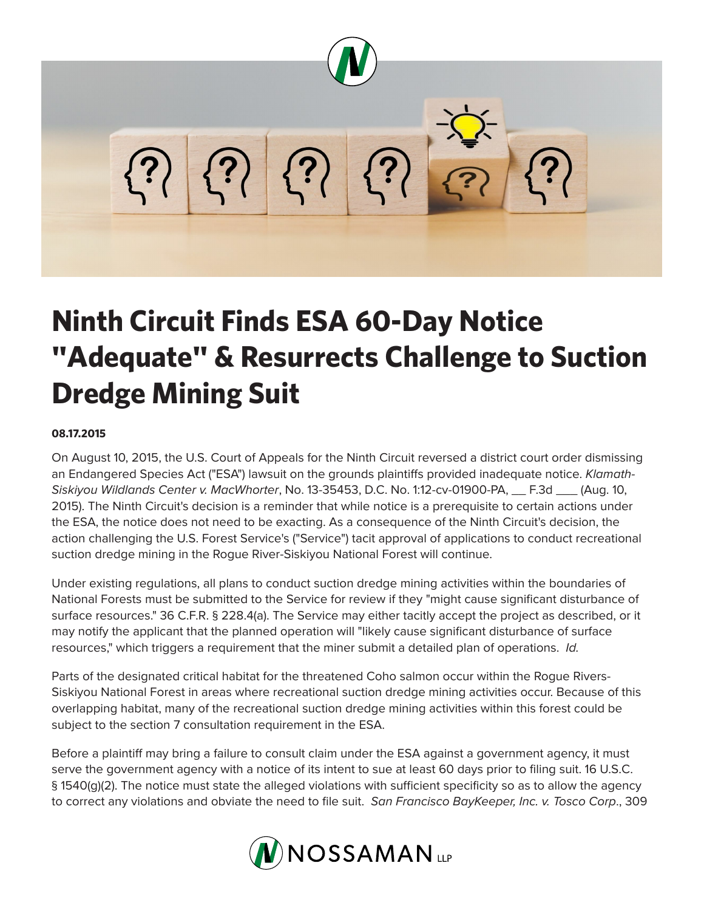

## **Ninth Circuit Finds ESA 60-Day Notice "Adequate" & Resurrects Challenge to Suction Dredge Mining Suit**

## **08.17.2015**

On August 10, 2015, the U.S. Court of Appeals for the Ninth Circuit reversed a district court order dismissing an Endangered Species Act ("ESA") lawsuit on the grounds plaintiffs provided inadequate notice. *Klamath-Siskiyou Wildlands Center v. MacWhorter*, No. 13-35453, D.C. No. 1:12-cv-01900-PA, \_\_ F.3d \_\_\_ (Aug. 10, 2015). The Ninth Circuit's decision is a reminder that while notice is a prerequisite to certain actions under the ESA, the notice does not need to be exacting. As a consequence of the Ninth Circuit's decision, the action challenging the U.S. Forest Service's ("Service") tacit approval of applications to conduct recreational suction dredge mining in the Rogue River-Siskiyou National Forest will continue.

Under existing regulations, all plans to conduct suction dredge mining activities within the boundaries of National Forests must be submitted to the Service for review if they "might cause significant disturbance of surface resources." 36 C.F.R. § 228.4(a). The Service may either tacitly accept the project as described, or it may notify the applicant that the planned operation will "likely cause significant disturbance of surface resources," which triggers a requirement that the miner submit a detailed plan of operations. *Id.* 

Parts of the designated critical habitat for the threatened Coho salmon occur within the Rogue Rivers-Siskiyou National Forest in areas where recreational suction dredge mining activities occur. Because of this overlapping habitat, many of the recreational suction dredge mining activities within this forest could be subject to the section 7 consultation requirement in the ESA.

Before a plaintiff may bring a failure to consult claim under the ESA against a government agency, it must serve the government agency with a notice of its intent to sue at least 60 days prior to filing suit. 16 U.S.C. § 1540(g)(2). The notice must state the alleged violations with sufficient specificity so as to allow the agency to correct any violations and obviate the need to file suit. *San Francisco BayKeeper, Inc. v. Tosco Corp*., 309